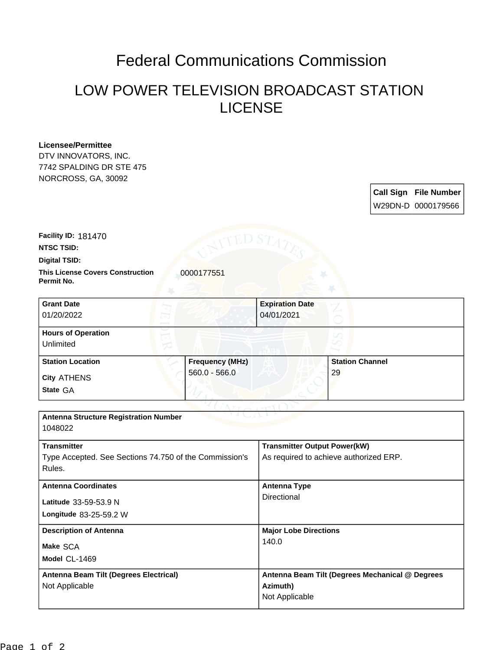## Federal Communications Commission

## LOW POWER TELEVISION BROADCAST STATION LICENSE

## **Licensee/Permittee**

DTV INNOVATORS, INC. 7742 SPALDING DR STE 475 NORCROSS, GA, 30092

> **Call Sign File Number** W29DN-D 0000179566

**Facility ID:** 181470

**NTSC TSID:**

**Digital TSID:**

**This License Covers Construction**  0000177551 **Permit No.**

**State** GA **City** ATHENS **Grant Date** 01/20/2022 **Expiration Date** 04/01/2021 **Hours of Operation** Unlimited **Station Location Frequency (MHz)** 560.0 - 566.0 **Station Channel** 29

| <b>Antenna Structure Registration Number</b><br>1048022          |                                                 |
|------------------------------------------------------------------|-------------------------------------------------|
| <b>Transmitter</b>                                               | <b>Transmitter Output Power(kW)</b>             |
| Type Accepted. See Sections 74.750 of the Commission's<br>Rules. | As required to achieve authorized ERP.          |
| <b>Antenna Coordinates</b>                                       | <b>Antenna Type</b>                             |
| Latitude $33-59-53.9$ N                                          | Directional                                     |
| Longitude 83-25-59.2 W                                           |                                                 |
| <b>Description of Antenna</b>                                    | <b>Major Lobe Directions</b>                    |
| Make SCA                                                         | 140.0                                           |
| Model CL-1469                                                    |                                                 |
| Antenna Beam Tilt (Degrees Electrical)                           | Antenna Beam Tilt (Degrees Mechanical @ Degrees |
| Not Applicable                                                   | Azimuth)                                        |
|                                                                  | Not Applicable                                  |